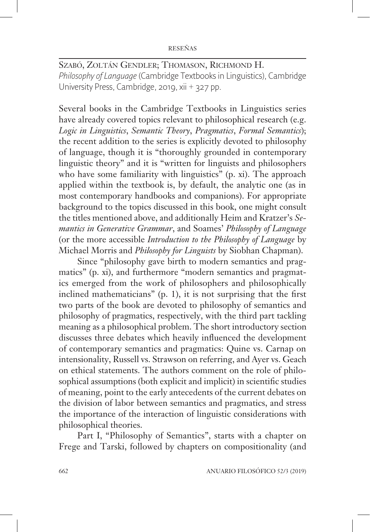SZABÓ, ZOLTÁN GENDLER; THOMASON, RICHMOND H. *Philosophy of Language* (Cambridge Textbooks in Linguistics), Cambridge University Press, Cambridge, 2019, xii + 327 pp.

Several books in the Cambridge Textbooks in Linguistics series have already covered topics relevant to philosophical research (e.g. *Logic in Linguistics*, *Semantic Theory*, *Pragmatics*, *Formal Semantics*); the recent addition to the series is explicitly devoted to philosophy of language, though it is "thoroughly grounded in contemporary linguistic theory" and it is "written for linguists and philosophers who have some familiarity with linguistics" (p. xi). The approach applied within the textbook is, by default, the analytic one (as in most contemporary handbooks and companions). For appropriate background to the topics discussed in this book, one might consult the titles mentioned above, and additionally Heim and Kratzer's *Semantics in Generative Grammar*, and Soames' *Philosophy of Language* (or the more accessible *Introduction to the Philosophy of Language* by Michael Morris and *Philosophy for Linguists* by Siobhan Chapman).

Since "philosophy gave birth to modern semantics and pragmatics" (p. xi), and furthermore "modern semantics and pragmatics emerged from the work of philosophers and philosophically inclined mathematicians"  $(p, 1)$ , it is not surprising that the first two parts of the book are devoted to philosophy of semantics and philosophy of pragmatics, respectively, with the third part tackling meaning as a philosophical problem. The short introductory section discusses three debates which heavily influenced the development of contemporary semantics and pragmatics: Quine vs. Carnap on intensionality, Russell vs. Strawson on referring, and Ayer vs. Geach on ethical statements. The authors comment on the role of philosophical assumptions (both explicit and implicit) in scientific studies of meaning, point to the early antecedents of the current debates on the division of labor between semantics and pragmatics, and stress the importance of the interaction of linguistic considerations with philosophical theories.

Part I, "Philosophy of Semantics", starts with a chapter on Frege and Tarski, followed by chapters on compositionality (and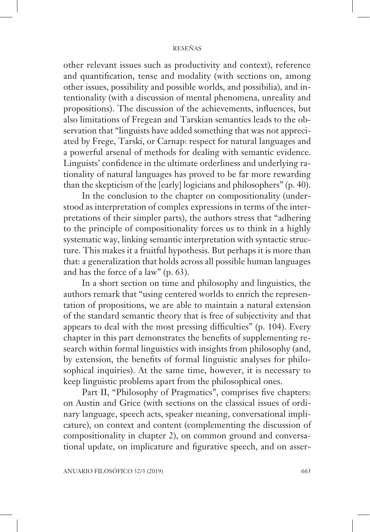## RESEÑAS

other relevant issues such as productivity and context), reference and quantification, tense and modality (with sections on, among other issues, possibility and possible worlds, and possibilia), and intentionality (with a discussion of mental phenomena, unreality and propositions). The discussion of the achievements, influences, but also limitations of Fregean and Tarskian semantics leads to the observation that "linguists have added something that was not appreciated by Frege, Tarski, or Carnap: respect for natural languages and a powerful arsenal of methods for dealing with semantic evidence. Linguists' confidence in the ultimate orderliness and underlying rationality of natural languages has proved to be far more rewarding than the skepticism of the [early] logicians and philosophers" (p. 40).

In the conclusion to the chapter on compositionality (understood as interpretation of complex expressions in terms of the interpretations of their simpler parts), the authors stress that "adhering to the principle of compositionality forces us to think in a highly systematic way, linking semantic interpretation with syntactic structure. This makes it a fruitful hypothesis. But perhaps it is more than that: a generalization that holds across all possible human languages and has the force of a law" (p. 63).

In a short section on time and philosophy and linguistics, the authors remark that "using centered worlds to enrich the representation of propositions, we are able to maintain a natural extension of the standard semantic theory that is free of subjectivity and that appears to deal with the most pressing difficulties" (p. 104). Every chapter in this part demonstrates the benefits of supplementing research within formal linguistics with insights from philosophy (and, by extension, the benefits of formal linguistic analyses for philosophical inquiries). At the same time, however, it is necessary to keep linguistic problems apart from the philosophical ones.

Part II, "Philosophy of Pragmatics", comprises five chapters: on Austin and Grice (with sections on the classical issues of ordinary language, speech acts, speaker meaning, conversational implicature), on context and content (complementing the discussion of compositionality in chapter 2), on common ground and conversational update, on implicature and figurative speech, and on asser-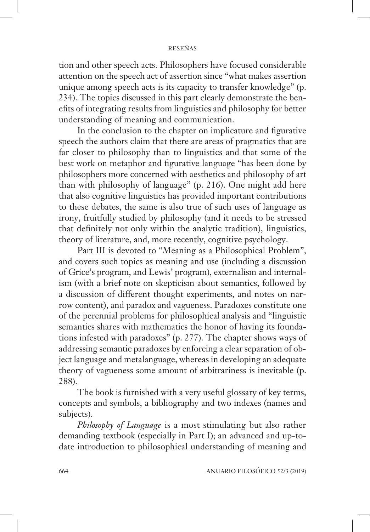## RESEÑAS

tion and other speech acts. Philosophers have focused considerable attention on the speech act of assertion since "what makes assertion unique among speech acts is its capacity to transfer knowledge" (p. 234). The topics discussed in this part clearly demonstrate the benefits of integrating results from linguistics and philosophy for better understanding of meaning and communication.

In the conclusion to the chapter on implicature and figurative speech the authors claim that there are areas of pragmatics that are far closer to philosophy than to linguistics and that some of the best work on metaphor and figurative language "has been done by philosophers more concerned with aesthetics and philosophy of art than with philosophy of language" (p. 216). One might add here that also cognitive linguistics has provided important contributions to these debates, the same is also true of such uses of language as irony, fruitfully studied by philosophy (and it needs to be stressed that definitely not only within the analytic tradition), linguistics, theory of literature, and, more recently, cognitive psychology.

Part III is devoted to "Meaning as a Philosophical Problem", and covers such topics as meaning and use (including a discussion of Grice's program, and Lewis' program), externalism and internalism (with a brief note on skepticism about semantics, followed by a discussion of different thought experiments, and notes on narrow content), and paradox and vagueness. Paradoxes constitute one of the perennial problems for philosophical analysis and "linguistic semantics shares with mathematics the honor of having its foundations infested with paradoxes" (p. 277). The chapter shows ways of addressing semantic paradoxes by enforcing a clear separation of object language and metalanguage, whereas in developing an adequate theory of vagueness some amount of arbitrariness is inevitable (p. 288).

The book is furnished with a very useful glossary of key terms, concepts and symbols, a bibliography and two indexes (names and subjects).

*Philosophy of Language* is a most stimulating but also rather demanding textbook (especially in Part I); an advanced and up-todate introduction to philosophical understanding of meaning and